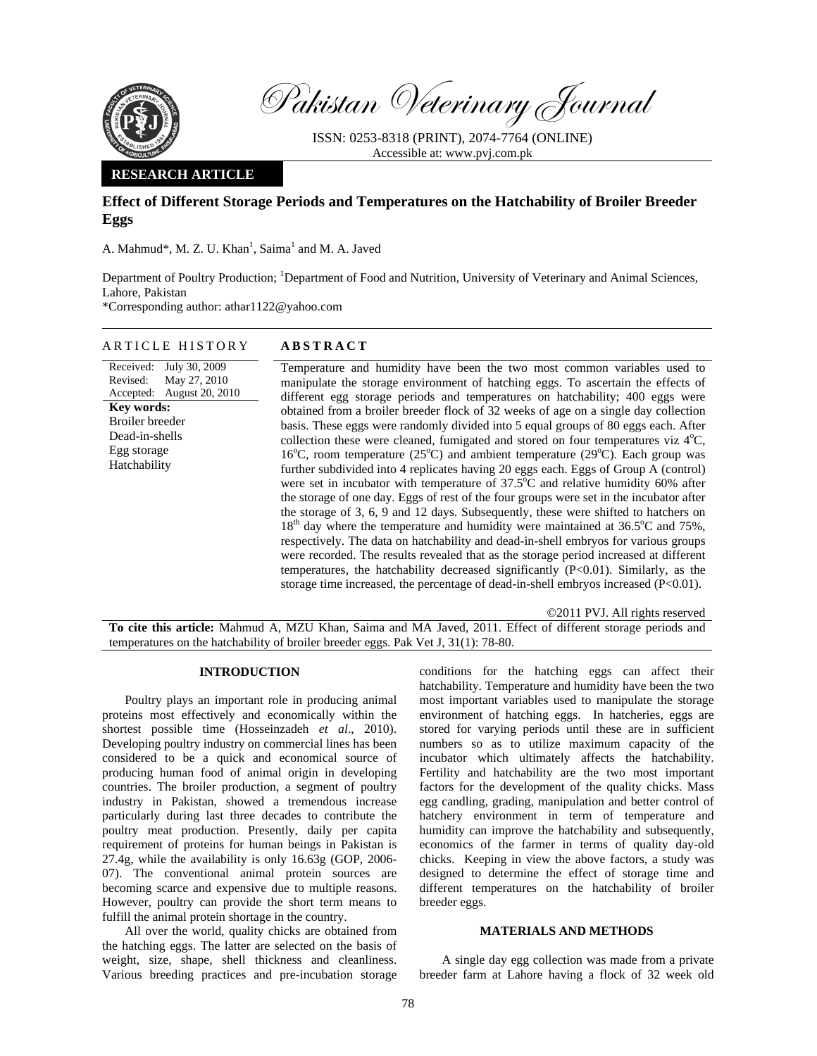

Pakistan Veterinary Journal

ISSN: 0253-8318 (PRINT), 2074-7764 (ONLINE) Accessible at: www.pvj.com.pk

### **RESEARCH ARTICLE**

Received: July 30, 2009

May 27, 2010 August 20, 2010

Revised: Accepted:

**Key words:**  Broiler breeder Dead-in-shells Egg storage Hatchability

# **Effect of Different Storage Periods and Temperatures on the Hatchability of Broiler Breeder Eggs**

A. Mahmud\*, M. Z. U. Khan<sup>1</sup>, Saima<sup>1</sup> and M. A. Javed

Department of Poultry Production; <sup>1</sup>Department of Food and Nutrition, University of Veterinary and Animal Sciences, Lahore, Pakistan

\*Corresponding author: athar1122@yahoo.com

# ARTICLE HISTORY **ABSTRACT**

Temperature and humidity have been the two most common variables used to manipulate the storage environment of hatching eggs. To ascertain the effects of different egg storage periods and temperatures on hatchability; 400 eggs were obtained from a broiler breeder flock of 32 weeks of age on a single day collection basis. These eggs were randomly divided into 5 equal groups of 80 eggs each. After collection these were cleaned, fumigated and stored on four temperatures viz  $4^{\circ}C$ , 16°C, room temperature (25°C) and ambient temperature (29°C). Each group was further subdivided into 4 replicates having 20 eggs each. Eggs of Group A (control) were set in incubator with temperature of  $37.5^{\circ}$ C and relative humidity 60% after the storage of one day. Eggs of rest of the four groups were set in the incubator after the storage of 3, 6, 9 and 12 days. Subsequently, these were shifted to hatchers on  $18<sup>th</sup>$  day where the temperature and humidity were maintained at 36.5 $\degree$ C and 75%, respectively. The data on hatchability and dead-in-shell embryos for various groups were recorded. The results revealed that as the storage period increased at different temperatures, the hatchability decreased significantly (P<0.01). Similarly, as the storage time increased, the percentage of dead-in-shell embryos increased  $(P<0.01)$ .

©2011 PVJ. All rights reserved

**To cite this article:** Mahmud A, MZU Khan, Saima and MA Javed, 2011. Effect of different storage periods and temperatures on the hatchability of broiler breeder eggs. Pak Vet J, 31(1): 78-80.

#### **INTRODUCTION**

Poultry plays an important role in producing animal proteins most effectively and economically within the shortest possible time (Hosseinzadeh *et al*., 2010). Developing poultry industry on commercial lines has been considered to be a quick and economical source of producing human food of animal origin in developing countries. The broiler production, a segment of poultry industry in Pakistan, showed a tremendous increase particularly during last three decades to contribute the poultry meat production. Presently, daily per capita requirement of proteins for human beings in Pakistan is 27.4g, while the availability is only 16.63g (GOP, 2006- 07). The conventional animal protein sources are becoming scarce and expensive due to multiple reasons. However, poultry can provide the short term means to fulfill the animal protein shortage in the country.

All over the world, quality chicks are obtained from the hatching eggs. The latter are selected on the basis of weight, size, shape, shell thickness and cleanliness. Various breeding practices and pre-incubation storage

conditions for the hatching eggs can affect their hatchability. Temperature and humidity have been the two most important variables used to manipulate the storage environment of hatching eggs. In hatcheries, eggs are stored for varying periods until these are in sufficient numbers so as to utilize maximum capacity of the incubator which ultimately affects the hatchability. Fertility and hatchability are the two most important factors for the development of the quality chicks. Mass egg candling, grading, manipulation and better control of hatchery environment in term of temperature and humidity can improve the hatchability and subsequently, economics of the farmer in terms of quality day-old chicks. Keeping in view the above factors, a study was designed to determine the effect of storage time and different temperatures on the hatchability of broiler breeder eggs.

## **MATERIALS AND METHODS**

A single day egg collection was made from a private breeder farm at Lahore having a flock of 32 week old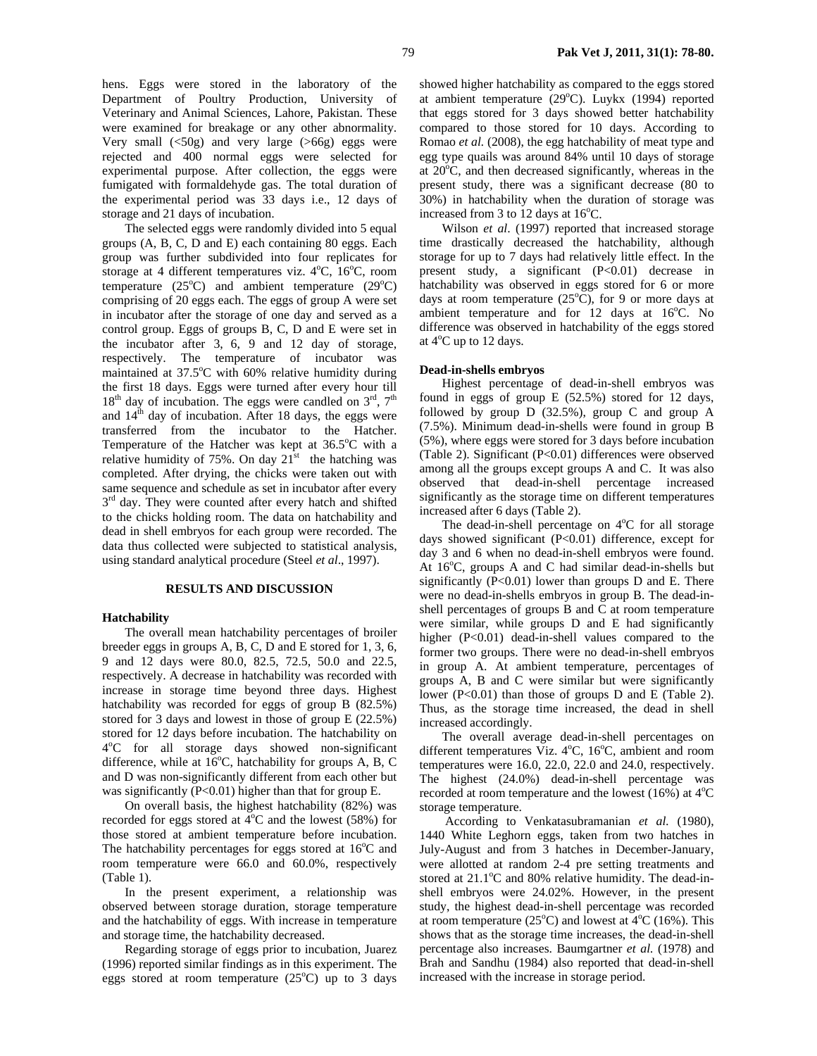hens. Eggs were stored in the laboratory of the Department of Poultry Production, University of Veterinary and Animal Sciences, Lahore, Pakistan. These were examined for breakage or any other abnormality. Very small (<50g) and very large (>66g) eggs were rejected and 400 normal eggs were selected for experimental purpose. After collection, the eggs were fumigated with formaldehyde gas. The total duration of the experimental period was 33 days i.e., 12 days of storage and 21 days of incubation.

The selected eggs were randomly divided into 5 equal groups (A, B, C, D and E) each containing 80 eggs. Each group was further subdivided into four replicates for storage at 4 different temperatures viz.  $4^{\circ}$ C,  $16^{\circ}$ C, room temperature  $(25^{\circ}C)$  and ambient temperature  $(29^{\circ}C)$ comprising of 20 eggs each. The eggs of group A were set in incubator after the storage of one day and served as a control group. Eggs of groups B, C, D and E were set in the incubator after 3, 6, 9 and 12 day of storage, respectively. The temperature of incubator was maintained at 37.5°C with 60% relative humidity during the first 18 days. Eggs were turned after every hour till  $18<sup>th</sup>$  day of incubation. The eggs were candled on  $3<sup>rd</sup>$ ,  $7<sup>th</sup>$ and  $14<sup>th</sup>$  day of incubation. After 18 days, the eggs were transferred from the incubator to the Hatcher. Temperature of the Hatcher was kept at  $36.5^{\circ}$ C with a relative humidity of 75%. On day  $21<sup>st</sup>$  the hatching was completed. After drying, the chicks were taken out with same sequence and schedule as set in incubator after every  $3<sup>rd</sup>$  day. They were counted after every hatch and shifted to the chicks holding room. The data on hatchability and dead in shell embryos for each group were recorded. The data thus collected were subjected to statistical analysis, using standard analytical procedure (Steel *et al*., 1997).

#### **RESULTS AND DISCUSSION**

#### **Hatchability**

The overall mean hatchability percentages of broiler breeder eggs in groups A, B, C, D and E stored for 1, 3, 6, 9 and 12 days were 80.0, 82.5, 72.5, 50.0 and 22.5, respectively. A decrease in hatchability was recorded with increase in storage time beyond three days. Highest hatchability was recorded for eggs of group B (82.5%) stored for 3 days and lowest in those of group E (22.5%) stored for 12 days before incubation. The hatchability on 4o C for all storage days showed non-significant difference, while at  $16^{\circ}$ C, hatchability for groups A, B, C and D was non-significantly different from each other but was significantly  $(P<0.01)$  higher than that for group E.

On overall basis, the highest hatchability (82%) was recorded for eggs stored at  $4^{\circ}$ C and the lowest (58%) for those stored at ambient temperature before incubation. The hatchability percentages for eggs stored at  $16^{\circ}$ C and room temperature were 66.0 and 60.0%, respectively (Table 1).

In the present experiment, a relationship was observed between storage duration, storage temperature and the hatchability of eggs. With increase in temperature and storage time, the hatchability decreased.

Regarding storage of eggs prior to incubation, Juarez (1996) reported similar findings as in this experiment. The eggs stored at room temperature  $(25^{\circ}C)$  up to 3 days showed higher hatchability as compared to the eggs stored at ambient temperature (29°C). Luykx (1994) reported that eggs stored for 3 days showed better hatchability compared to those stored for 10 days. According to Romao *et al.* (2008), the egg hatchability of meat type and

egg type quails was around 84% until 10 days of storage at 20<sup>o</sup>C, and then decreased significantly, whereas in the present study, there was a significant decrease (80 to 30%) in hatchability when the duration of storage was increased from 3 to 12 days at  $16^{\circ}$ C.

Wilson *et al*. (1997) reported that increased storage time drastically decreased the hatchability, although storage for up to 7 days had relatively little effect. In the present study, a significant (P<0.01) decrease in hatchability was observed in eggs stored for 6 or more days at room temperature  $(25^{\circ}\widetilde{C})$ , for 9 or more days at ambient temperature and for 12 days at 16°C. No difference was observed in hatchability of the eggs stored at  $4^{\circ}$ C up to 12 days.

#### **Dead-in-shells embryos**

Highest percentage of dead-in-shell embryos was found in eggs of group E (52.5%) stored for 12 days, followed by group D (32.5%), group C and group A (7.5%). Minimum dead-in-shells were found in group B (5%), where eggs were stored for 3 days before incubation (Table 2). Significant (P<0.01) differences were observed among all the groups except groups A and C. It was also observed that dead-in-shell percentage increased significantly as the storage time on different temperatures increased after 6 days (Table 2).

The dead-in-shell percentage on  $4^{\circ}$ C for all storage days showed significant (P<0.01) difference, except for day 3 and 6 when no dead-in-shell embryos were found. At 16°C, groups A and C had similar dead-in-shells but significantly  $(P<0.01)$  lower than groups D and E. There were no dead-in-shells embryos in group B. The dead-inshell percentages of groups B and C at room temperature were similar, while groups D and E had significantly higher (P<0.01) dead-in-shell values compared to the former two groups. There were no dead-in-shell embryos in group A. At ambient temperature, percentages of groups A, B and C were similar but were significantly lower (P<0.01) than those of groups D and E (Table 2). Thus, as the storage time increased, the dead in shell increased accordingly.

The overall average dead-in-shell percentages on different temperatures Viz. 4°C, 16°C, ambient and room temperatures were 16.0, 22.0, 22.0 and 24.0, respectively. The highest (24.0%) dead-in-shell percentage was recorded at room temperature and the lowest  $(16\%)$  at  $4^{\circ}$ C storage temperature.

 According to Venkatasubramanian *et al.* (1980), 1440 White Leghorn eggs, taken from two hatches in July-August and from 3 hatches in December-January, were allotted at random 2-4 pre setting treatments and stored at 21.1°C and 80% relative humidity. The dead-inshell embryos were 24.02%. However, in the present study, the highest dead-in-shell percentage was recorded at room temperature  $(25^{\circ}C)$  and lowest at  $4^{\circ}C$  (16%). This shows that as the storage time increases, the dead-in-shell percentage also increases. Baumgartner *et al.* (1978) and Brah and Sandhu (1984) also reported that dead-in-shell increased with the increase in storage period.